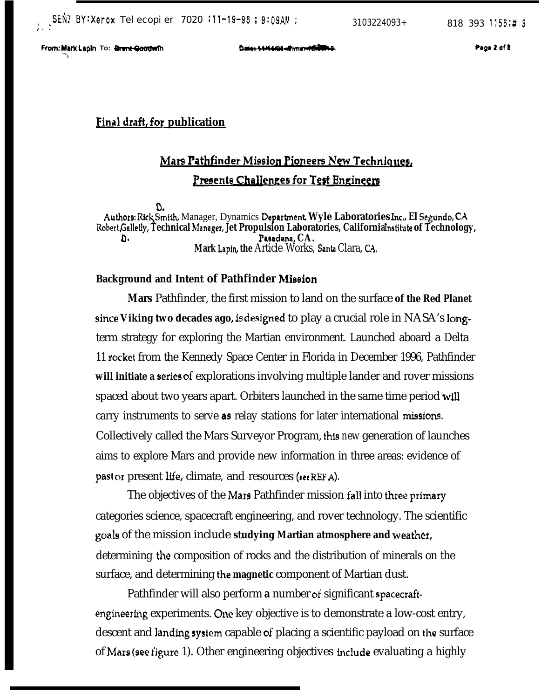**-1**

### **Final draft, for publication**

# **Mars Pathfinder Mission Pioneers New Techniques, Presents Challenges for Test Engineers**

D. Author9: Ric\Smith, Manager, Dynamics **Deparbnent Wyle Laboratories Inc,, El Segundo, CA Robert&dletly, Technical hlarqer, Jet Propulsion Laboratories, California** Inditute **of Technology,** D. Pasadena, CA. Mark Lapin, the Article Works, Santa Clara, CA,

#### **Background and Intent of Pathfinder Mission**

**Mars** Pathfinder, the first mission to land on the surface **of the Red Planet since Viking two decades ago, is designed** to play a crucial role in NASA's **long**term strategy for exploring the Martian environment. Launched aboard a Delta 11 rocket from the Kennedy Space Center in Florida in December 1996, Pathfinder **will initiate a series** of explorations involving multiple lander and rover missions spaced about two years apart. Orbiters launched in the same time period will carry instruments to serve as relay stations for later international missions. Collectively called the Mars Surveyor Program, this *new* generation of launches aims to explore Mars and provide new information in three areas: evidence of past or present life, climate, and resources (see REF A).

The objectives of the Mars Pathfinder mission fall into three primary categories science, spacecraft engineering, and rover technology. The scientific goals of the mission include **studying Martian atmosphere and weather,** determining the composition of rocks and the distribution of minerals on the surface, and determining the **magnetic** component of Martian dust.

Pathfinder will also perform **a** number of significant spacecraftengineering experiments. One key objective is to demonstrate a low-cost entry, descent and landing system capable of placing a scientific payload on the surface of Mars (see figure 1). Other engineering objectives include evaluating a highly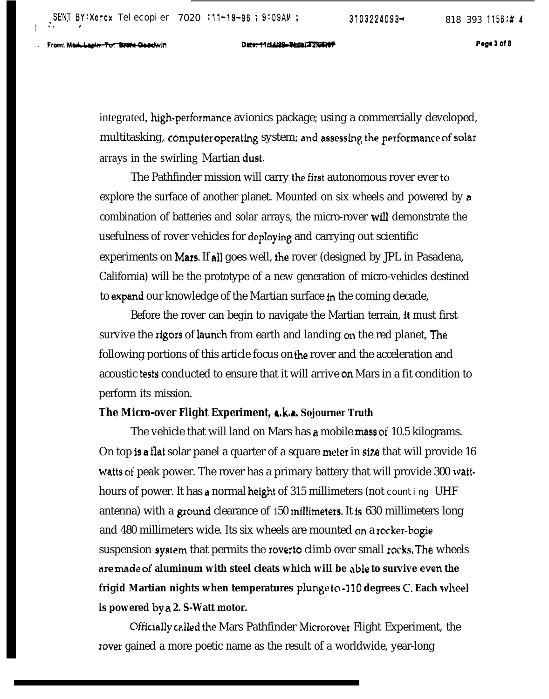From: Maddapin-Tut State Geodwin

 $t \rightarrow s$  and  $t$ 

96 : 9:09AM ; 3103224093→ 818 393 1156;<br>D<del>ate: 11/14/08 Tiss: T2/WE07</del> Page 3 of &

integrated, high-performance avionics package; using a commercially developed, multitasking, computer operating system; and assessing the performance of solar arrays in the swirling Martian duet.

The Pathfinder mission will carry the first autonomous rover ever to explore the surface of another planet. Mounted on six wheels and powered by a combination of batteries and solar arrays, the micro-rover will demonstrate the usefulness of rover vehicles for deploying and carrying out scientific experiments on Mars. If all goes well, the rover (designed by JPL in Pasadena, California) will be the prototype of a new generation of micro-vehicles destined to expand our knowledge of the Martian surface in the coming decade,

Before the rover can begin to navigate the Martian terrain, it must first survive the rigors of launch from earth and landing on the red planet, The following portions of this article focus on the rover and the acceleration and acoustic tests conducted to ensure that it will arrive on Mars in a fit condition to perform its mission.

#### **The Micro-over Flight Experiment, a.k.a. Sojourner Truth**

The vehicle that will land on Mars has a mobile mass of 10.5 kilograms. On top is a flat solar panel a quarter of a square meter in size that will provide 16 watts of peak power. The rover has a primary battery that will provide 300 watthours of power. It has a normal height of 315 millimeters (not counting UHF antenna) with a ground clearance of 150 millimeters. It is 630 millimeters long and 480 millimeters wide. Its six wheels are mounted cm a rocker-bogie suspension system that permits the rover**to** climb over small rocks, The wheels **are made of aluminum with steel cleats which will be able to survive even the frigid Martian nights when temperatures pluqy to -110 degrees C, Each wheel is powered by a 2. S-Watt motor.**

**Cfficially called the Mars Pathfinder Microrover Flight Experiment, the** rover gained a more poetic name as the result of a worldwide, year-long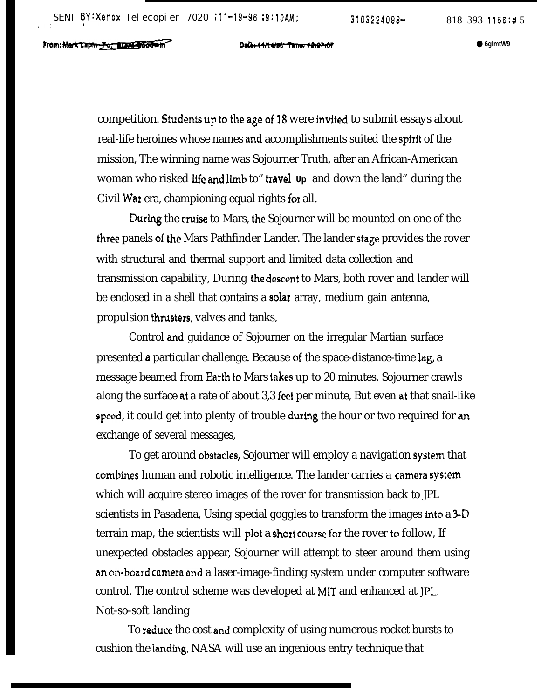competition. Students up to the age of 18 were invited to submit essays about real-life heroines whose names and accomplishments suited the spirit of the mission, The winning name was Sojourner Truth, after an African-American woman who risked life and limb to" travel **Up** and down the land" during the Civil War era, championing equal rights fox all.

During the cruise to Mars, the Sojourner will be mounted on one of the three panels of the Mars Pathfinder Lander. The lander stage provides the rover with structural and thermal support and limited data collection and transmission capability, During the descent to Mars, both rover and lander will be enclosed in a shell that contains a solar array, medium gain antenna, propulsion thrusters, valves and tanks,

Control and guidance of Sojourner on the irregular Martian surface presented a particular challenge. Because of the space-distance-time lag, a message beamed from Earth to Mars takes up to 20 minutes. Sojourner crawls along the surface at a rate of about 3,3 feet per minute, But even at that snail-like speed, it could get into plenty of trouble during the hour or two required for an exchange of several messages,

To get around obstacles, Sojourner will employ a navigation system that combines human and robotic intelligence. The lander carries a camera system which will acquire stereo images of the rover for transmission back to JPL scientists in Pasadena, Using special goggles to transform the images into a 3-D terrain map, the scientists will plot a short course for the rover to follow, If unexpected obstacles appear, Sojourner will attempt to steer around them using an on-board camera and a laser-image-finding system under computer software control. The control scheme was developed at MIT and enhanced at JPL, Not-so-soft landing

To reduce the cost and complexity of using numerous rocket bursts to cushion the landing, NASA will use an ingenious entry technique that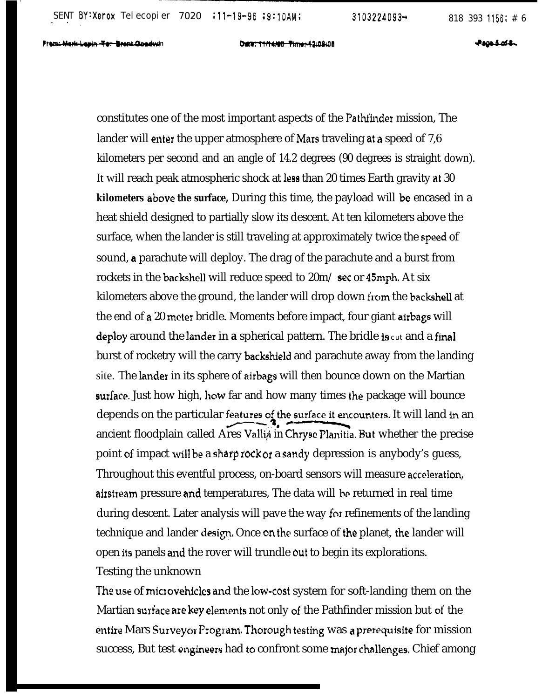Date: 11/14/90 - Pinner-42:08:08

**Provident** 

constitutes one of the most important aspects of the Pathfinder mission, The lander will enter the upper atmosphere of Mars traveling at a speed of 7,6 kilometers per second and an angle of 14.2 degrees (90 degrees is straight down). It will reach peak atmospheric shock at less than 20 times Earth gravity at 30 **kilometers above the surface,** During this time, the payload will be encased in a heat shield designed to partially slow its descent. At ten kilometers above the surface, when the lander is still traveling at approximately twice the speed of sound, a parachute will deploy. The drag of the parachute and a burst from rockets in the backshell will reduce speed to 20m/ sec or 45mph, At six kilometers above the ground, the lander will drop down from the backshell at the end of a 20 meter bridle. Moments before impact, four giant airbags will deploy around the lander in **a** spherical pattern. The bridle **i9** cut and a final burst of rocketry will the carry backshield and parachute away from the landing site. The lander in its sphere of airbags will then bounce down on the Martian **surface.** Just how high, how far and how many times the package will bounce depends on the particular features of the surface it encounters. It will land in an ancient floodplain called Ares Valli<sub>A</sub> in Chryse Planitia. But whether the precise point of impact will be a sharp rock or a sandy depression is anybody's guess, Throughout this eventful process, on-board sensors will measure acceleration, airstream pressure and temperatures, The data will be returned in real time during descent. Later analysis will pave the way for refinements of the landing technique and lander design. Once on the surface of the planet, the lander will open its panels and the rover will trundle out to begin its explorations. Testing the unknown

The use of microvehicles and the low-cost system for soft-landing them on the Martian surface are key elements not only of the Pathfinder mission but of the entire Mars Surveyor Program. Thorough testing was a prerequisite for mission success, But test engineers had to confront some major challenges. Chief among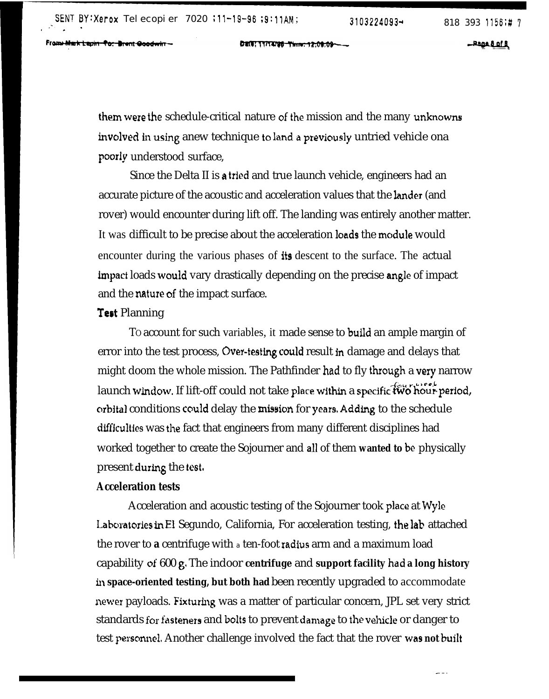Fram Mark Lapin-To: Brent Goodwin -

DECT: TY/T4/90 Thre: 12:09:09-

**\_Page & af R** 

them were the schedule-critical nature of the mission and the many unknowns involved in using anew technique to land a previously untried vehicle ona pooriy understood surface,

Since the Delta II is a tried and true launch vehicle, engineers had an accurate picture of the acoustic and acceleration values that the lander (and rover) would encounter during lift off. The landing was entirely another matter. It was difficult to be precise about the acceleration loads the module would encounter during the various phases of its descent to the surface. The actual bpact loads would vary drastically depending on the precise angle of impact and the nature of the impact surface.

#### Test Planning

TO account for such variables, it made sense to build an ample margin of error into the test process, Over-testing could result in damage and delays that might doom the whole mission. The Pathfinder had to fly through a very narrow launch window. If lift-off could not take place within a specific two hour period, orbital conditions could delay the mission for years, Adding to the schedule difficulties was the fact that engineers from many different disciplines had worked together to create the Sojourner and aLl of them **wanted to be** physically present during the test,

#### **Acceleration tests**

Acceleration and acoustic testing of the Sojourner took place at Wyle Laboratories in El Segundo, California, For acceleration testing, the lab attached the rover to **a** centrifuge with a ten-foot Iadius arm and a maximum load capability of 600 g. The indoor centrifuge and support facility had a long history **in space-oriented testing, but both had** been recently upgraded to accommodate newer payloads. Fixturing was a matter of particular concern, JPL set very strict standards for fasteners and bolts to prevent damage to the vehicle or danger to test personne], Another challenge involved the fact that the rover was **not built**

 $-$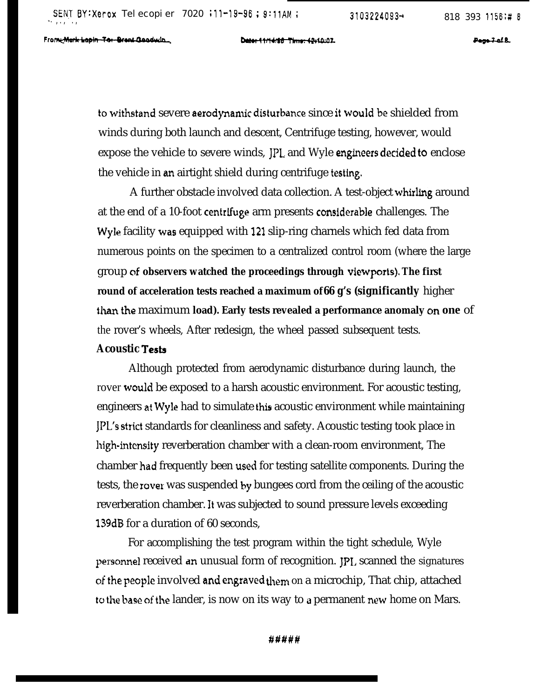Frome Mark Lapin Tor Breat Goodwin

Date: 11/14/88 Time: 12:10:07.

Page 7-of B.

to withstand severe aerodynamic disturbance since it would be shielded from winds during both launch and descent, Centrifuge testing, however, would expose the vehicle to severe winds, JPL and Wyle engineers decided to enclose the vehicle in an airtight shield during centrifuge testing.

A further obstacle involved data collection. A test-object whirling around at the end of a 10-foot centrifuge arm presents considerable challenges. The Wyle facility was equipped with 121 slip-ring charnels which fed data from numerous points on the specimen to a centralized control room (where the large group of **observers watched the proceedings through viewports). The first round of acceleration tests reached a maximum of 66 g's (significantly** higher than the maximum **load). Early tests revealed a performance anomaly on one** of the rover's wheels, After redesign, the wheel passed subsequent tests.

#### **Acoustic Testi**

Although protected from aerodynamic disturbance during launch, the rover would be exposed to a harsh acoustic environment. For acoustic testing, engineers at Wyle had to simulate this acoustic environment while maintaining JPL's strict standards for cleanliness and safety. Acoustic testing took place in high-intensity reverberation chamber with a clean-room environment, The chamber had frequently been used for testing satellite components. During the tests, the rover was suspended by bungees cord from the ceiling of the acoustic reverberation chamber. It was subjected to sound pressure levels exceeding 139dB for a duration of 60 seconds,

For accomplishing the test program within the tight schedule, Wyle personnel received an unusual form of recognition. JPL scanned the signatures of the people involved and engraved them on a microchip, That chip, attached to the base of the lander, is now on its way to a permanent new home on Mars.

#####